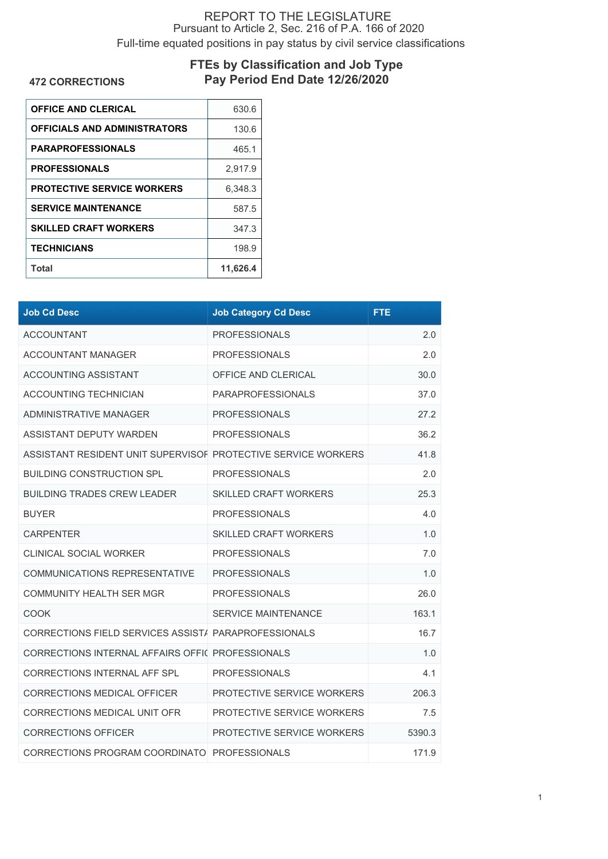## REPORT TO THE LEGISLATURE Pursuant to Article 2, Sec. 216 of P.A. 166 of 2020 Full-time equated positions in pay status by civil service classifications

## **FTEs by Classification and Job Type Pay Period End Date 12/26/2020**

**472 CORRECTIONS**

| <b>OFFICE AND CLERICAL</b>          | 630.6    |
|-------------------------------------|----------|
| <b>OFFICIALS AND ADMINISTRATORS</b> | 130.6    |
| <b>PARAPROFESSIONALS</b>            | 465.1    |
| <b>PROFESSIONALS</b>                | 2.917.9  |
| <b>PROTECTIVE SERVICE WORKERS</b>   | 6.348.3  |
| <b>SERVICE MAINTENANCE</b>          | 587.5    |
| <b>SKILLED CRAFT WORKERS</b>        | 347.3    |
| <b>TECHNICIANS</b>                  | 198.9    |
| Total                               | 11,626.4 |

| <b>Job Cd Desc</b>                                            | <b>Job Category Cd Desc</b>  | <b>FTE</b> |
|---------------------------------------------------------------|------------------------------|------------|
| <b>ACCOUNTANT</b>                                             | <b>PROFESSIONALS</b>         | 2.0        |
| <b>ACCOUNTANT MANAGER</b>                                     | <b>PROFESSIONALS</b>         | 2.0        |
| <b>ACCOUNTING ASSISTANT</b>                                   | OFFICE AND CLERICAL          | 30.0       |
| ACCOUNTING TECHNICIAN                                         | <b>PARAPROFESSIONALS</b>     | 37.0       |
| <b>ADMINISTRATIVE MANAGER</b>                                 | <b>PROFESSIONALS</b>         | 27.2       |
| ASSISTANT DEPUTY WARDEN                                       | <b>PROFESSIONALS</b>         | 36.2       |
| ASSISTANT RESIDENT UNIT SUPERVISOF PROTECTIVE SERVICE WORKERS |                              | 41.8       |
| <b>BUILDING CONSTRUCTION SPL</b>                              | <b>PROFESSIONALS</b>         | 2.0        |
| <b>BUILDING TRADES CREW LEADER</b>                            | <b>SKILLED CRAFT WORKERS</b> | 25.3       |
| <b>BUYER</b>                                                  | <b>PROFESSIONALS</b>         | 4.0        |
| <b>CARPENTER</b>                                              | <b>SKILLED CRAFT WORKERS</b> | 1.0        |
| <b>CLINICAL SOCIAL WORKER</b>                                 | <b>PROFESSIONALS</b>         | 7.0        |
| COMMUNICATIONS REPRESENTATIVE                                 | <b>PROFESSIONALS</b>         | 1.0        |
| <b>COMMUNITY HEALTH SER MGR</b>                               | <b>PROFESSIONALS</b>         | 26.0       |
| <b>COOK</b>                                                   | <b>SERVICE MAINTENANCE</b>   | 163.1      |
| CORRECTIONS FIELD SERVICES ASSIST/ PARAPROFESSIONALS          |                              | 16.7       |
| CORRECTIONS INTERNAL AFFAIRS OFFIC PROFESSIONALS              |                              | 1.0        |
| CORRECTIONS INTERNAL AFF SPL                                  | <b>PROFESSIONALS</b>         | 4.1        |
| CORRECTIONS MEDICAL OFFICER                                   | PROTECTIVE SERVICE WORKERS   | 206.3      |
| CORRECTIONS MEDICAL UNIT OFR                                  | PROTECTIVE SERVICE WORKERS   | 7.5        |
| <b>CORRECTIONS OFFICER</b>                                    | PROTECTIVE SERVICE WORKERS   | 5390.3     |
| CORRECTIONS PROGRAM COORDINATO PROFESSIONALS                  |                              | 171.9      |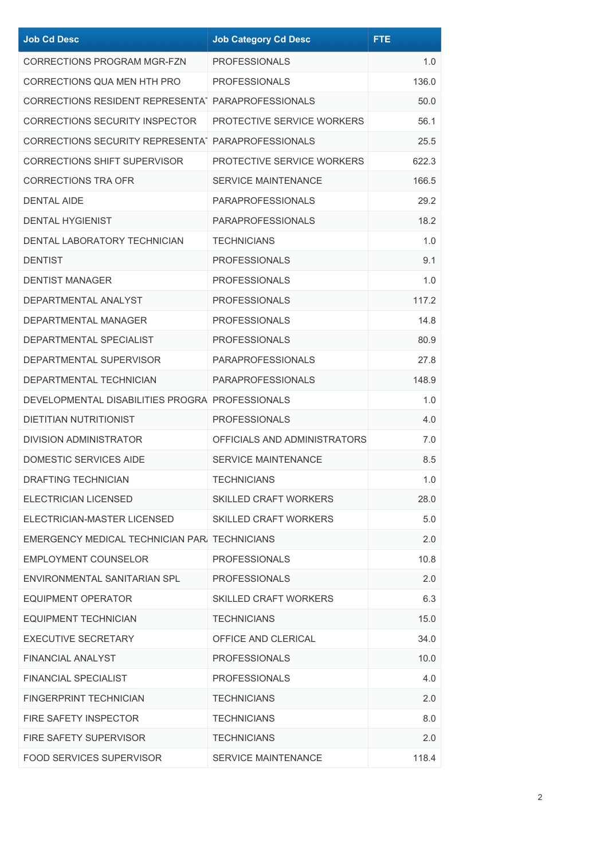| <b>Job Cd Desc</b>                                 | <b>Job Category Cd Desc</b>  | <b>FTE</b> |
|----------------------------------------------------|------------------------------|------------|
| CORRECTIONS PROGRAM MGR-FZN                        | <b>PROFESSIONALS</b>         | 1.0        |
| CORRECTIONS QUA MEN HTH PRO                        | <b>PROFESSIONALS</b>         | 136.0      |
| CORRECTIONS RESIDENT REPRESENTAT PARAPROFESSIONALS |                              | 50.0       |
| <b>CORRECTIONS SECURITY INSPECTOR</b>              | PROTECTIVE SERVICE WORKERS   | 56.1       |
| CORRECTIONS SECURITY REPRESENTAT PARAPROFESSIONALS |                              | 25.5       |
| <b>CORRECTIONS SHIFT SUPERVISOR</b>                | PROTECTIVE SERVICE WORKERS   | 622.3      |
| <b>CORRECTIONS TRA OFR</b>                         | <b>SERVICE MAINTENANCE</b>   | 166.5      |
| <b>DENTAL AIDE</b>                                 | <b>PARAPROFESSIONALS</b>     | 29.2       |
| <b>DENTAL HYGIENIST</b>                            | <b>PARAPROFESSIONALS</b>     | 18.2       |
| DENTAL LABORATORY TECHNICIAN                       | <b>TECHNICIANS</b>           | 1.0        |
| <b>DENTIST</b>                                     | <b>PROFESSIONALS</b>         | 9.1        |
| <b>DENTIST MANAGER</b>                             | <b>PROFESSIONALS</b>         | 1.0        |
| DEPARTMENTAL ANALYST                               | <b>PROFESSIONALS</b>         | 117.2      |
| DEPARTMENTAL MANAGER                               | <b>PROFESSIONALS</b>         | 14.8       |
| DEPARTMENTAL SPECIALIST                            | <b>PROFESSIONALS</b>         | 80.9       |
| DEPARTMENTAL SUPERVISOR                            | <b>PARAPROFESSIONALS</b>     | 27.8       |
| DEPARTMENTAL TECHNICIAN                            | <b>PARAPROFESSIONALS</b>     | 148.9      |
| DEVELOPMENTAL DISABILITIES PROGRA PROFESSIONALS    |                              | 1.0        |
| <b>DIETITIAN NUTRITIONIST</b>                      | <b>PROFESSIONALS</b>         | 4.0        |
| <b>DIVISION ADMINISTRATOR</b>                      | OFFICIALS AND ADMINISTRATORS | 7.0        |
| <b>DOMESTIC SERVICES AIDE</b>                      | <b>SERVICE MAINTENANCE</b>   | 8.5        |
| <b>DRAFTING TECHNICIAN</b>                         | <b>TECHNICIANS</b>           | 1.0        |
| ELECTRICIAN LICENSED                               | <b>SKILLED CRAFT WORKERS</b> | 28.0       |
| ELECTRICIAN-MASTER LICENSED                        | <b>SKILLED CRAFT WORKERS</b> | 5.0        |
| EMERGENCY MEDICAL TECHNICIAN PAR. TECHNICIANS      |                              | 2.0        |
| EMPLOYMENT COUNSELOR                               | <b>PROFESSIONALS</b>         | 10.8       |
| ENVIRONMENTAL SANITARIAN SPL                       | <b>PROFESSIONALS</b>         | 2.0        |
| <b>EQUIPMENT OPERATOR</b>                          | <b>SKILLED CRAFT WORKERS</b> | 6.3        |
| <b>EQUIPMENT TECHNICIAN</b>                        | <b>TECHNICIANS</b>           | 15.0       |
| <b>EXECUTIVE SECRETARY</b>                         | OFFICE AND CLERICAL          | 34.0       |
| <b>FINANCIAL ANALYST</b>                           | <b>PROFESSIONALS</b>         | 10.0       |
| <b>FINANCIAL SPECIALIST</b>                        | <b>PROFESSIONALS</b>         | 4.0        |
| <b>FINGERPRINT TECHNICIAN</b>                      | <b>TECHNICIANS</b>           | 2.0        |
| FIRE SAFETY INSPECTOR                              | <b>TECHNICIANS</b>           | 8.0        |
| <b>FIRE SAFETY SUPERVISOR</b>                      | <b>TECHNICIANS</b>           | 2.0        |
| <b>FOOD SERVICES SUPERVISOR</b>                    | SERVICE MAINTENANCE          | 118.4      |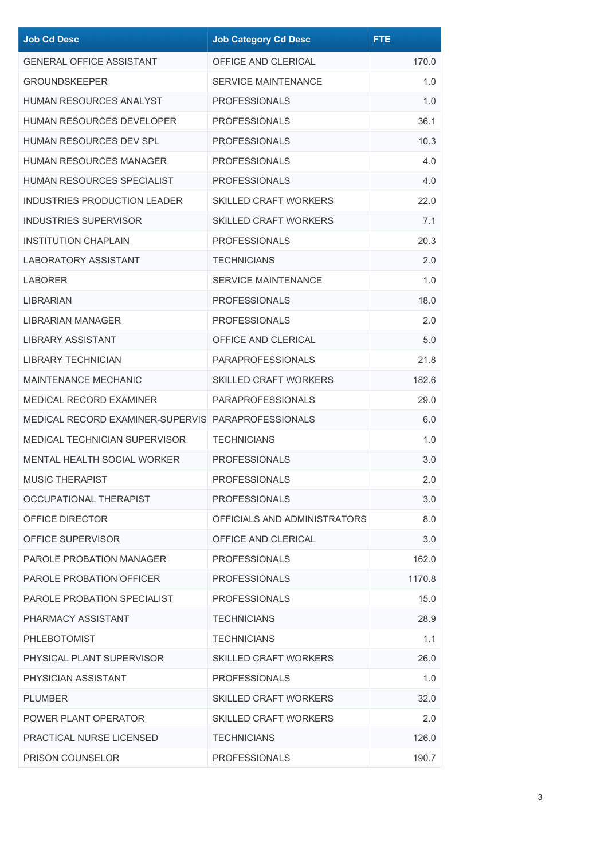| <b>Job Cd Desc</b>                                 | <b>Job Category Cd Desc</b>  | <b>FTE</b> |
|----------------------------------------------------|------------------------------|------------|
| <b>GENERAL OFFICE ASSISTANT</b>                    | OFFICE AND CLERICAL          | 170.0      |
| <b>GROUNDSKEEPER</b>                               | <b>SERVICE MAINTENANCE</b>   | 1.0        |
| <b>HUMAN RESOURCES ANALYST</b>                     | <b>PROFESSIONALS</b>         | 1.0        |
| <b>HUMAN RESOURCES DEVELOPER</b>                   | <b>PROFESSIONALS</b>         | 36.1       |
| <b>HUMAN RESOURCES DEV SPL</b>                     | <b>PROFESSIONALS</b>         | 10.3       |
| HUMAN RESOURCES MANAGER                            | <b>PROFESSIONALS</b>         | 4.0        |
| HUMAN RESOURCES SPECIALIST                         | <b>PROFESSIONALS</b>         | 4.0        |
| <b>INDUSTRIES PRODUCTION LEADER</b>                | <b>SKILLED CRAFT WORKERS</b> | 22.0       |
| <b>INDUSTRIES SUPERVISOR</b>                       | <b>SKILLED CRAFT WORKERS</b> | 7.1        |
| <b>INSTITUTION CHAPLAIN</b>                        | <b>PROFESSIONALS</b>         | 20.3       |
| <b>LABORATORY ASSISTANT</b>                        | <b>TECHNICIANS</b>           | 2.0        |
| LABORER                                            | <b>SERVICE MAINTENANCE</b>   | 1.0        |
| LIBRARIAN                                          | <b>PROFESSIONALS</b>         | 18.0       |
| <b>LIBRARIAN MANAGER</b>                           | <b>PROFESSIONALS</b>         | 2.0        |
| LIBRARY ASSISTANT                                  | OFFICE AND CLERICAL          | 5.0        |
| <b>LIBRARY TECHNICIAN</b>                          | <b>PARAPROFESSIONALS</b>     | 21.8       |
| <b>MAINTENANCE MECHANIC</b>                        | <b>SKILLED CRAFT WORKERS</b> | 182.6      |
| MEDICAL RECORD EXAMINER                            | <b>PARAPROFESSIONALS</b>     | 29.0       |
| MEDICAL RECORD EXAMINER-SUPERVIS PARAPROFESSIONALS |                              | 6.0        |
| <b>MEDICAL TECHNICIAN SUPERVISOR</b>               | <b>TECHNICIANS</b>           | 1.0        |
| MENTAL HEALTH SOCIAL WORKER                        | <b>PROFESSIONALS</b>         | 3.0        |
| <b>MUSIC THERAPIST</b>                             | <b>PROFESSIONALS</b>         | 2.0        |
| OCCUPATIONAL THERAPIST                             | <b>PROFESSIONALS</b>         | 3.0        |
| OFFICE DIRECTOR                                    | OFFICIALS AND ADMINISTRATORS | 8.0        |
| OFFICE SUPERVISOR                                  | OFFICE AND CLERICAL          | 3.0        |
| <b>PAROLE PROBATION MANAGER</b>                    | <b>PROFESSIONALS</b>         | 162.0      |
| PAROLE PROBATION OFFICER                           | <b>PROFESSIONALS</b>         | 1170.8     |
| PAROLE PROBATION SPECIALIST                        | <b>PROFESSIONALS</b>         | 15.0       |
| PHARMACY ASSISTANT                                 | <b>TECHNICIANS</b>           | 28.9       |
| <b>PHLEBOTOMIST</b>                                | <b>TECHNICIANS</b>           | 1.1        |
| PHYSICAL PLANT SUPERVISOR                          | <b>SKILLED CRAFT WORKERS</b> | 26.0       |
| PHYSICIAN ASSISTANT                                | <b>PROFESSIONALS</b>         | 1.0        |
| <b>PLUMBER</b>                                     | <b>SKILLED CRAFT WORKERS</b> | 32.0       |
| POWER PLANT OPERATOR                               | <b>SKILLED CRAFT WORKERS</b> | 2.0        |
| PRACTICAL NURSE LICENSED                           | <b>TECHNICIANS</b>           | 126.0      |
| PRISON COUNSELOR                                   | <b>PROFESSIONALS</b>         | 190.7      |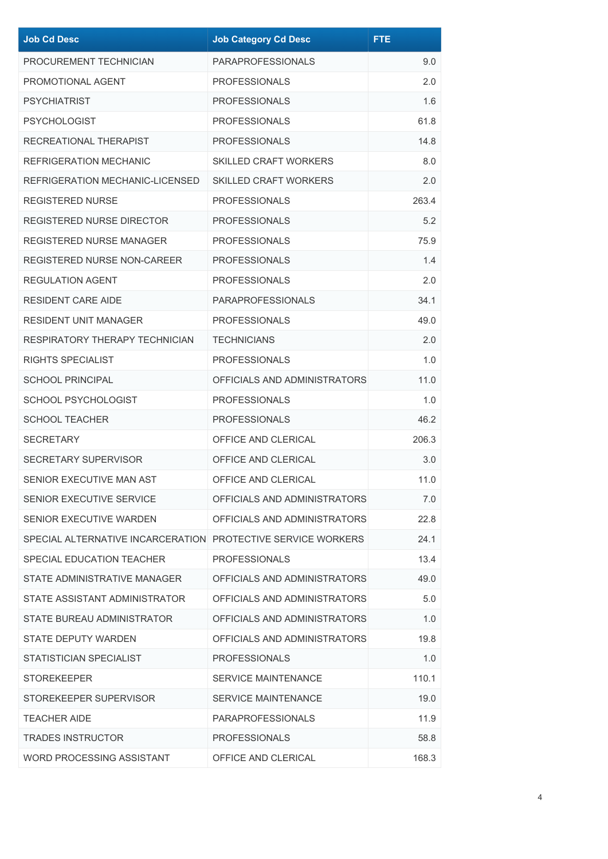| <b>Job Cd Desc</b>                                           | <b>Job Category Cd Desc</b>  | <b>FTE</b> |
|--------------------------------------------------------------|------------------------------|------------|
| PROCUREMENT TECHNICIAN                                       | <b>PARAPROFESSIONALS</b>     | 9.0        |
| PROMOTIONAL AGENT                                            | <b>PROFESSIONALS</b>         | 2.0        |
| <b>PSYCHIATRIST</b>                                          | <b>PROFESSIONALS</b>         | 1.6        |
| <b>PSYCHOLOGIST</b>                                          | <b>PROFESSIONALS</b>         | 61.8       |
| RECREATIONAL THERAPIST                                       | <b>PROFESSIONALS</b>         | 14.8       |
| REFRIGERATION MECHANIC                                       | <b>SKILLED CRAFT WORKERS</b> | 8.0        |
| REFRIGERATION MECHANIC-LICENSED                              | <b>SKILLED CRAFT WORKERS</b> | 2.0        |
| <b>REGISTERED NURSE</b>                                      | <b>PROFESSIONALS</b>         | 263.4      |
| REGISTERED NURSE DIRECTOR                                    | <b>PROFESSIONALS</b>         | 5.2        |
| <b>REGISTERED NURSE MANAGER</b>                              | <b>PROFESSIONALS</b>         | 75.9       |
| <b>REGISTERED NURSE NON-CAREER</b>                           | <b>PROFESSIONALS</b>         | 1.4        |
| <b>REGULATION AGENT</b>                                      | <b>PROFESSIONALS</b>         | 2.0        |
| <b>RESIDENT CARE AIDE</b>                                    | <b>PARAPROFESSIONALS</b>     | 34.1       |
| <b>RESIDENT UNIT MANAGER</b>                                 | <b>PROFESSIONALS</b>         | 49.0       |
| RESPIRATORY THERAPY TECHNICIAN                               | <b>TECHNICIANS</b>           | 2.0        |
| <b>RIGHTS SPECIALIST</b>                                     | <b>PROFESSIONALS</b>         | 1.0        |
| <b>SCHOOL PRINCIPAL</b>                                      | OFFICIALS AND ADMINISTRATORS | 11.0       |
| SCHOOL PSYCHOLOGIST                                          | <b>PROFESSIONALS</b>         | 1.0        |
| <b>SCHOOL TEACHER</b>                                        | <b>PROFESSIONALS</b>         | 46.2       |
| <b>SECRETARY</b>                                             | OFFICE AND CLERICAL          | 206.3      |
| SECRETARY SUPERVISOR                                         | OFFICE AND CLERICAL          | 3.0        |
| SENIOR EXECUTIVE MAN AST                                     | OFFICE AND CLERICAL          | 11.0       |
| SENIOR EXECUTIVE SERVICE                                     | OFFICIALS AND ADMINISTRATORS | 7.0        |
| SENIOR EXECUTIVE WARDEN                                      | OFFICIALS AND ADMINISTRATORS | 22.8       |
| SPECIAL ALTERNATIVE INCARCERATION PROTECTIVE SERVICE WORKERS |                              | 24.1       |
| SPECIAL EDUCATION TEACHER                                    | <b>PROFESSIONALS</b>         | 13.4       |
| STATE ADMINISTRATIVE MANAGER                                 | OFFICIALS AND ADMINISTRATORS | 49.0       |
| STATE ASSISTANT ADMINISTRATOR                                | OFFICIALS AND ADMINISTRATORS | 5.0        |
| STATE BUREAU ADMINISTRATOR                                   | OFFICIALS AND ADMINISTRATORS | 1.0        |
| <b>STATE DEPUTY WARDEN</b>                                   | OFFICIALS AND ADMINISTRATORS | 19.8       |
| STATISTICIAN SPECIALIST                                      | <b>PROFESSIONALS</b>         | 1.0        |
| <b>STOREKEEPER</b>                                           | <b>SERVICE MAINTENANCE</b>   | 110.1      |
| STOREKEEPER SUPERVISOR                                       | <b>SERVICE MAINTENANCE</b>   | 19.0       |
| <b>TEACHER AIDE</b>                                          | <b>PARAPROFESSIONALS</b>     | 11.9       |
| <b>TRADES INSTRUCTOR</b>                                     | <b>PROFESSIONALS</b>         | 58.8       |
| WORD PROCESSING ASSISTANT                                    | OFFICE AND CLERICAL          | 168.3      |